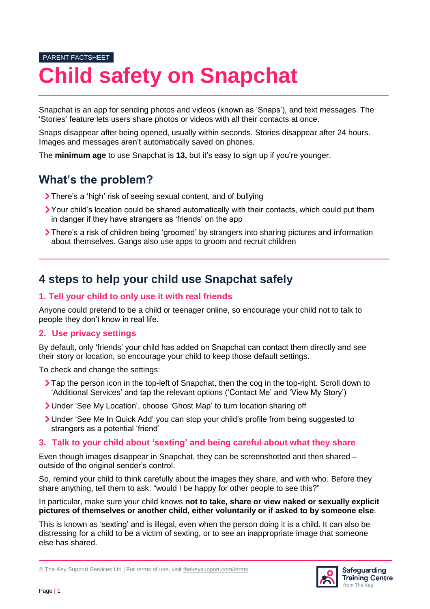# PARENT FACTSHEET **Child safety on Snapchat**

Snapchat is an app for sending photos and videos (known as 'Snaps'), and text messages. The 'Stories' feature lets users share photos or videos with all their contacts at once.

Snaps disappear after being opened, usually within seconds. Stories disappear after 24 hours. Images and messages aren't automatically saved on phones.

The **minimum age** to use Snapchat is **13,** but it's easy to sign up if you're younger.

# **What's the problem?**

- There's a 'high' risk of seeing sexual content, and of bullying
- Your child's location could be shared automatically with their contacts, which could put them in danger if they have strangers as 'friends' on the app
- There's a risk of children being 'groomed' by strangers into sharing pictures and information about themselves. Gangs also use apps to groom and recruit children

## **4 steps to help your child use Snapchat safely**

#### **1. Tell your child to only use it with real friends**

Anyone could pretend to be a child or teenager online, so encourage your child not to talk to people they don't know in real life.

#### **2. Use privacy settings**

By default, only 'friends' your child has added on Snapchat can contact them directly and see their story or location, so encourage your child to keep those default settings.

To check and change the settings:

- Tap the person icon in the top-left of Snapchat, then the cog in the top-right. Scroll down to 'Additional Services' and tap the relevant options ('Contact Me' and 'View My Story')
- Under 'See My Location', choose 'Ghost Map' to turn location sharing off
- Under 'See Me In Quick Add' you can stop your child's profile from being suggested to strangers as a potential 'friend'

#### **3. Talk to your child about 'sexting' and being careful about what they share**

Even though images disappear in Snapchat, they can be screenshotted and then shared – outside of the original sender's control.

So, remind your child to think carefully about the images they share, and with who. Before they share anything, tell them to ask: "would I be happy for other people to see this?"

In particular, make sure your child knows **not to take, share or view naked or sexually explicit pictures of themselves or another child, either voluntarily or if asked to by someone else**.

This is known as 'sexting' and is illegal, even when the person doing it is a child. It can also be distressing for a child to be a victim of sexting, or to see an inappropriate image that someone else has shared.



<sup>©</sup> The Key Support Services Ltd | For terms of use, visit [thekeysupport.com/terms](https://thekeysupport.com/terms-of-use)